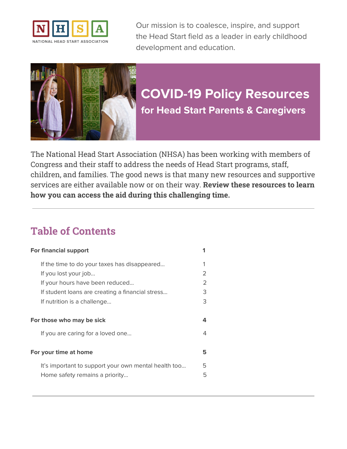



# **COVID-19 Policy Resources for Head Start Parents & Caregivers**

The National Head Start Association (NHSA) has been working with members of Congress and their staff to address the needs of Head Start programs, staff, children, and families. The good news is that many new resources and supportive services are either available now or on their way. **Review these resources to learn how you can access the aid during this challenging time.**

## **Table of Contents**

| <b>For financial support</b>                         |               |
|------------------------------------------------------|---------------|
| If the time to do your taxes has disappeared         |               |
| If you lost your job                                 | 2             |
| If your hours have been reduced                      | $\mathcal{P}$ |
| If student loans are creating a financial stress     | З             |
| If nutrition is a challenge                          | З             |
|                                                      |               |
|                                                      |               |
| For those who may be sick                            | 4             |
| If you are caring for a loved one                    | 4             |
|                                                      |               |
| For your time at home                                | 5             |
| It's important to support your own mental health too | 5             |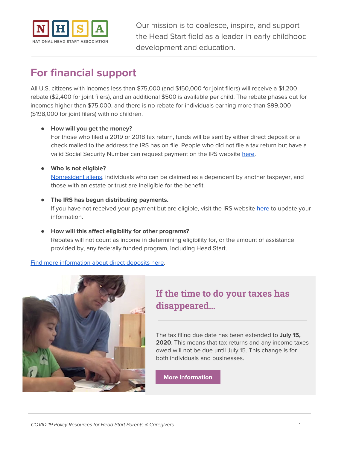

## <span id="page-1-0"></span>**For financial support**

All U.S. citizens with incomes less than \$75,000 (and \$150,000 for joint filers) will receive a \$1,200 rebate (\$2,400 for joint filers), and an additional \$500 is available per child. The rebate phases out for incomes higher than \$75,000, and there is no rebate for individuals earning more than \$99,000 (\$198,000 for joint filers) with no children.

#### ● **How will you get the money?**

For those who filed a 2019 or 2018 tax return, funds will be sent by either direct deposit or a check mailed to the address the IRS has on file. People who did not file a tax return but have a valid Social Security Number can request payment on the IRS website [here](https://www.irs.gov/coronavirus/non-filers-enter-payment-info-here).

#### ● **Who is not eligible?**

[Nonresident](https://www.irs.gov/individuals/international-taxpayers/determining-alien-tax-status) aliens, individuals who can be claimed as a dependent by another taxpayer, and those with an estate or trust are ineligible for the benefit.

#### **● The IRS has begun distributing payments.**

If you have not received your payment but are eligible, visit the IRS website [here](https://www.irs.gov/coronavirus/non-filers-enter-payment-info-here) to update your information.

● **How will this affect eligibility for other programs?** Rebates will not count as income in determining eligibility for, or the amount of assistance provided by, any federally funded program, including Head Start.

Find more [information](https://www.irs.gov/coronavirus/economic-impact-payment-information-center) about direct deposits here.



## <span id="page-1-1"></span>**If the time to do your taxes has disappeared…**

The tax filing due date has been extended to **July 15, 2020**. This means that tax returns and any income taxes owed will not be due until July 15. This change is for both individuals and businesses.

**More [information](https://www.irs.gov/coronavirus/coronavirus-tax-relief-and-economic-impact-payments-for-individuals-and-families)**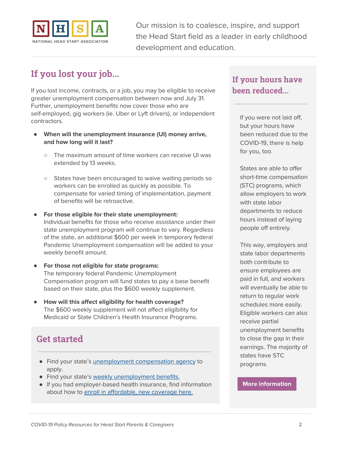

### <span id="page-2-0"></span>**If you lost your job...**

If you lost income, contracts, or a job, you may be eligible to receive greater unemployment compensation between now and July 31. Further, unemployment benefits now cover those who are self-employed, gig workers (ie. Uber or Lyft drivers), or independent contractors.

- **● When will the unemployment insurance (UI) money arrive, and how long will it last?**
	- The maximum amount of time workers can receive UI was extended by 13 weeks.
	- States have been encouraged to waive waiting periods so workers can be enrolled as quickly as possible. To compensate for varied timing of implementation, payment of benefits will be retroactive.
- **For those eligible for their state unemployment:** Individual benefits for those who receive assistance under their state unemployment program will continue to vary. Regardless of the state, an additional \$600 per week in temporary federal Pandemic Unemployment compensation will be added to your weekly benefit amount.
- **For those not eligible for state programs:** The temporary federal Pandemic Unemployment Compensation program will fund states to pay a base benefit based on their state, plus the \$600 weekly supplement.
- **How will this affect eligibility for health coverage?** The \$600 weekly supplement will not affect eligibility for Medicaid or State Children's Health Insurance Programs.

### **Get started**

- Find your state's *[unemployment](https://www.careeronestop.org/LocalHelp/UnemploymentBenefits/find-unemployment-benefits.aspx) compensation agency* to apply.
- Find your state's weekly [unemployment](https://www.cbpp.org/research/economy/policy-basics-how-many-weeks-of-unemployment-compensation-are-available) benefits.
- If you had employer-based health insurance, find information about how to enroll in [affordable,](https://www.healthcare.gov/coronavirus/) new coverage here.

### <span id="page-2-1"></span>**If your hours have been reduced...**

If you were not laid off, but your hours have been reduced due to the COVID-19, there is help for you, too.

States are able to offer short-time compensation (STC) programs, which allow employers to work with state labor departments to reduce hours instead of laying people off entirely.

This way, employers and state labor departments both contribute to ensure employees are paid in full, and workers will eventually be able to return to regular work schedules more easily. Eligible workers can also receive partial unemployment benefits to close the gap in their earnings. The majority of states have STC programs.

#### **More [information](https://oui.doleta.gov/unemploy/docs/stc_fact_sheet.pdf)**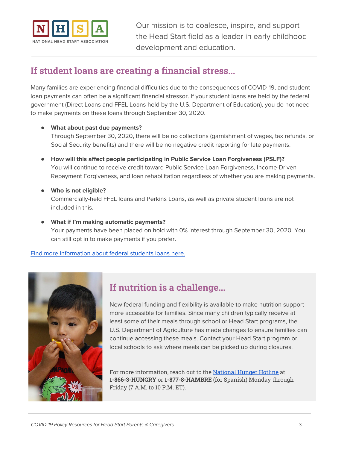

### <span id="page-3-0"></span>**If student loans are creating a financial stress...**

Many families are experiencing financial difficulties due to the consequences of COVID-19, and student loan payments can often be a significant financial stressor. If your student loans are held by the federal government (Direct Loans and FFEL Loans held by the U.S. Department of Education), you do not need to make payments on these loans through September 30, 2020.

#### ● **What about past due payments?**

Through September 30, 2020, there will be no collections (garnishment of wages, tax refunds, or Social Security benefits) and there will be no negative credit reporting for late payments.

- **How will this affect people participating in Public Service Loan Forgiveness (PSLF)?** You will continue to receive credit toward Public Service Loan Forgiveness, Income-Driven Repayment Forgiveness, and loan rehabilitation regardless of whether you are making payments.
- **Who is not eligible?**

Commercially-held FFEL loans and Perkins Loans, as well as private student loans are not included in this.

● **What if I'm making automatic payments?** Your payments have been placed on hold with 0% interest through September 30, 2020. You can still opt in to make payments if you prefer.

Find more [information](https://studentaid.gov/announcements-events/coronavirus) about federal students loans here.



### <span id="page-3-1"></span>**If nutrition is a challenge...**

New federal funding and flexibility is available to make nutrition support more accessible for families. Since many children typically receive at least some of their meals through school or Head Start programs, the U.S. Department of Agriculture has made changes to ensure families can continue accessing these meals. Contact your Head Start program or local schools to ask where meals can be picked up during closures.

For more information, reach out to the [National](https://www.fns.usda.gov/partnerships/national-hunger-clearinghouse) Hunger Hotline at **1-866-3-HUNGRY** or **1-877-8-HAMBRE** (for Spanish) Monday through Friday (7 A.M. to 10 P.M. ET).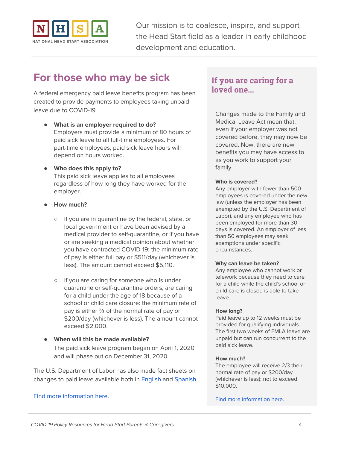

## <span id="page-4-0"></span>**For those who may be sick**

A federal emergency paid leave benefits program has been created to provide payments to employees taking unpaid leave due to COVID-19.

- **What is an employer required to do?** Employers must provide a minimum of 80 hours of paid sick leave to all full-time employees. For part-time employees, paid sick leave hours will depend on hours worked.
- **Who does this apply to?** This paid sick leave applies to all employees regardless of how long they have worked for the employer.
- **● How much?**
	- If you are in quarantine by the federal, state, or local government or have been advised by a medical provider to self-quarantine, or if you have or are seeking a medical opinion about whether you have contracted COVID-19: the minimum rate of pay is either full pay or \$511/day (whichever is less). The amount cannot exceed \$5,110.
	- If you are caring for someone who is under quarantine or self-quarantine orders, are caring for a child under the age of 18 because of a school or child care closure: the minimum rate of pay is either ⅔ of the normal rate of pay or \$200/day (whichever is less). The amount cannot exceed \$2,000.
- **When will this be made available?** The paid sick leave program began on April 1, 2020 and will phase out on December 31, 2020.

The U.S. Department of Labor has also made fact sheets on changes to paid leave available both in **[English](https://www.dol.gov/sites/dolgov/files/WHD/Pandemic/FFCRA-Employee_Paid_Leave_Rights.pdf)** and **[Spanish](https://www.dol.gov/sites/dolgov/files/WHD/Pandemic/FFCRA-Employee_Paid_Leave_Rights_SPANISH.pdf)**.

#### Find more [information](https://www.dol.gov/agencies/whd/pandemic/ffcra-employee-paid-leave) here.

### **If you are caring for a loved one...**

Changes made to the Family and Medical Leave Act mean that, even if your employer was not covered before, they may now be covered. Now, there are new benefits you may have access to as you work to support your family.

#### **Who is covered?**

Any employer with fewer than 500 employees is covered under the new law (unless the employer has been exempted by the U.S. Department of Labor), and any employee who has been employed for more than 30 days is covered. An employer of less than 50 employees may seek exemptions under specific circumstances.

#### **Why can leave be taken?**

Any employee who cannot work or telework because they need to care for a child while the child's school or child care is closed is able to take leave.

#### **How long?**

Paid leave up to 12 weeks must be provided for qualifying individuals. The first two weeks of FMLA leave are unpaid but can run concurrent to the paid sick leave.

#### **How much?**

The employee will receive 2/3 their normal rate of pay or \$200/day (whichever is less); not to exceed \$10,000.

Find more [information](https://www.dol.gov/agencies/whd/fmla/pandemic) here.